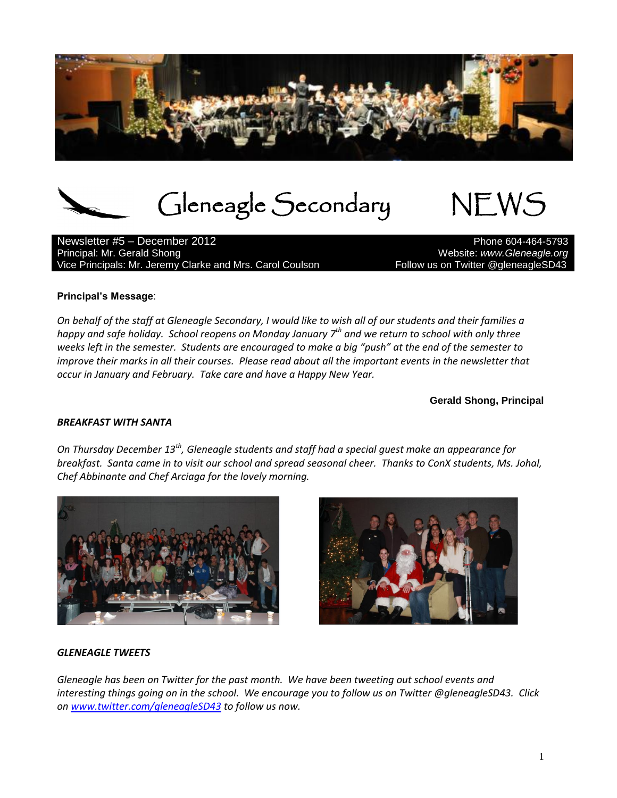

Gleneagle Secondary NEWS

Newsletter #5 – December 2012 Principal: Mr. Gerald Shong Website: *www.Gleneagle.org* Vice Principals: Mr. Jeremy Clarke and Mrs. Carol Coulson *Follow us on Twitter @gleneagleSD43* 

#### **Principal's Message**:

*On behalf of the staff at Gleneagle Secondary, I would like to wish all of our students and their families a happy and safe holiday. School reopens on Monday January 7th and we return to school with only three weeks left in the semester. Students are encouraged to make a big "push" at the end of the semester to improve their marks in all their courses. Please read about all the important events in the newsletter that occur in January and February. Take care and have a Happy New Year.*

**Gerald Shong, Principal**

#### *BREAKFAST WITH SANTA*

*On Thursday December 13th, Gleneagle students and staff had a special guest make an appearance for breakfast. Santa came in to visit our school and spread seasonal cheer. Thanks to ConX students, Ms. Johal, Chef Abbinante and Chef Arciaga for the lovely morning.*





#### *GLENEAGLE TWEETS*

*Gleneagle has been on Twitter for the past month. We have been tweeting out school events and interesting things going on in the school. We encourage you to follow us on Twitter @gleneagleSD43. Click on [www.twitter.com/gleneagleSD43](http://www.twitter.com/gleneagleSD43) to follow us now.*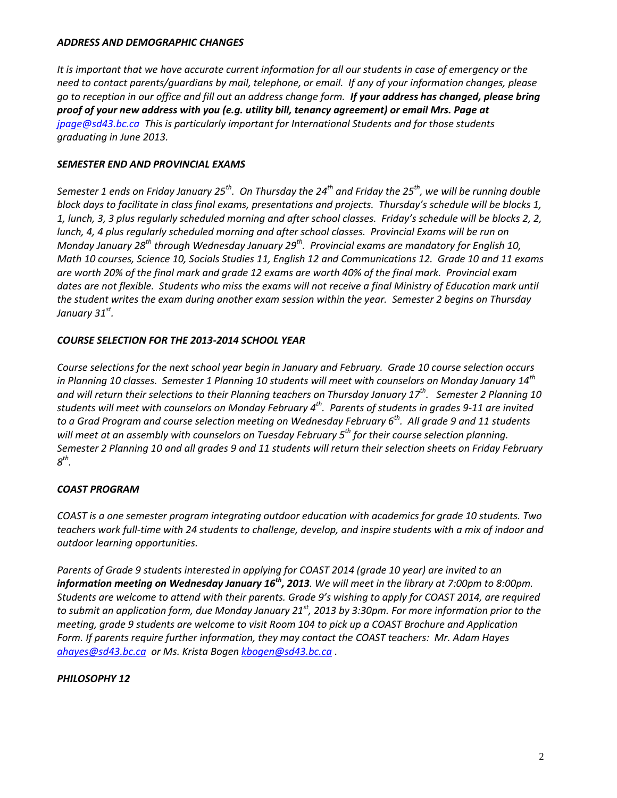#### *ADDRESS AND DEMOGRAPHIC CHANGES*

*It is important that we have accurate current information for all our students in case of emergency or the need to contact parents/guardians by mail, telephone, or email. If any of your information changes, please go to reception in our office and fill out an address change form. If your address has changed, please bring proof of your new address with you (e.g. utility bill, tenancy agreement) or email Mrs. Page at [jpage@sd43.bc.ca](mailto:jpage@sd43.bc.ca) This is particularly important for International Students and for those students graduating in June 2013.*

## *SEMESTER END AND PROVINCIAL EXAMS*

*Semester 1 ends on Friday January 25th . On Thursday the 24th and Friday the 25th, we will be running double block days to facilitate in class final exams, presentations and projects. Thursday's schedule will be blocks 1, 1, lunch, 3, 3 plus regularly scheduled morning and after school classes. Friday's schedule will be blocks 2, 2, lunch, 4, 4 plus regularly scheduled morning and after school classes. Provincial Exams will be run on Monday January 28th through Wednesday January 29th. Provincial exams are mandatory for English 10, Math 10 courses, Science 10, Socials Studies 11, English 12 and Communications 12. Grade 10 and 11 exams are worth 20% of the final mark and grade 12 exams are worth 40% of the final mark. Provincial exam dates are not flexible. Students who miss the exams will not receive a final Ministry of Education mark until the student writes the exam during another exam session within the year. Semester 2 begins on Thursday January 31st .*

## *COURSE SELECTION FOR THE 2013-2014 SCHOOL YEAR*

*Course selections for the next school year begin in January and February. Grade 10 course selection occurs in Planning 10 classes. Semester 1 Planning 10 students will meet with counselors on Monday January 14th and will return their selections to their Planning teachers on Thursday January 17th. Semester 2 Planning 10 students will meet with counselors on Monday February 4th . Parents of students in grades 9-11 are invited to a Grad Program and course selection meeting on Wednesday February 6th . All grade 9 and 11 students will meet at an assembly with counselors on Tuesday February 5th for their course selection planning. Semester 2 Planning 10 and all grades 9 and 11 students will return their selection sheets on Friday February 8 th .*

# *COAST PROGRAM*

*COAST is a one semester program integrating outdoor education with academics for grade 10 students. Two teachers work full-time with 24 students to challenge, develop, and inspire students with a mix of indoor and outdoor learning opportunities.*

*Parents of Grade 9 students interested in applying for COAST 2014 (grade 10 year) are invited to an information meeting on Wednesday January 16th, 2013. We will meet in the library at 7:00pm to 8:00pm. Students are welcome to attend with their parents. Grade 9's wishing to apply for COAST 2014, are required to submit an application form, due Monday January 21st, 2013 by 3:30pm. For more information prior to the meeting, grade 9 students are welcome to visit Room 104 to pick up a COAST Brochure and Application Form. If parents require further information, they may contact the COAST teachers: Mr. Adam Hayes [ahayes@sd43.bc.ca](mailto:ahayes@sd43.bc.ca) or Ms. Krista Boge[n kbogen@sd43.bc.ca](mailto:kbogen@sd43.bc.ca)* .

# *PHILOSOPHY 12*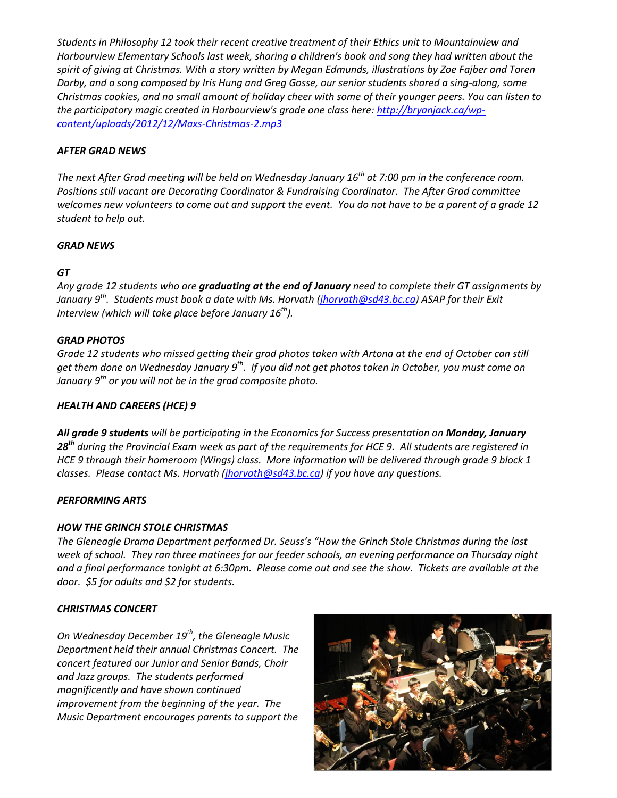*Students in Philosophy 12 took their recent creative treatment of their Ethics unit to Mountainview and Harbourview Elementary Schools last week, sharing a children's book and song they had written about the spirit of giving at Christmas. With a story written by Megan Edmunds, illustrations by Zoe Fajber and Toren Darby, and a song composed by Iris Hung and Greg Gosse, our senior students shared a sing-along, some Christmas cookies, and no small amount of holiday cheer with some of their younger peers. You can listen to the participatory magic created in Harbourview's grade one class here: [http://bryanjack.ca/wp](http://bryanjack.ca/wp-content/uploads/2012/12/Maxs-Christmas-2.mp3)[content/uploads/2012/12/Maxs-Christmas-2.mp3](http://bryanjack.ca/wp-content/uploads/2012/12/Maxs-Christmas-2.mp3)*

### *AFTER GRAD NEWS*

*The next After Grad meeting will be held on Wednesday January 16th at 7:00 pm in the conference room. Positions still vacant are Decorating Coordinator & Fundraising Coordinator. The After Grad committee welcomes new volunteers to come out and support the event. You do not have to be a parent of a grade 12 student to help out.*

## *GRAD NEWS*

# *GT*

*Any grade 12 students who are graduating at the end of January need to complete their GT assignments by January 9th . Students must book a date with Ms. Horvath [\(jhorvath@sd43.bc.ca\)](mailto:jhorvath@sd43.bc.ca) ASAP for their Exit Interview (which will take place before January 16th).*

## *GRAD PHOTOS*

*Grade 12 students who missed getting their grad photos taken with Artona at the end of October can still get them done on Wednesday January 9th. If you did not get photos taken in October, you must come on January 9th or you will not be in the grad composite photo.*

# *HEALTH AND CAREERS (HCE) 9*

*All grade 9 students will be participating in the Economics for Success presentation on Monday, January 28th during the Provincial Exam week as part of the requirements for HCE 9. All students are registered in HCE 9 through their homeroom (Wings) class. More information will be delivered through grade 9 block 1 classes. Please contact Ms. Horvath [\(jhorvath@sd43.bc.ca\)](mailto:jhorvath@sd43.bc.ca) if you have any questions.*

### *PERFORMING ARTS*

### *HOW THE GRINCH STOLE CHRISTMAS*

*The Gleneagle Drama Department performed Dr. Seuss's "How the Grinch Stole Christmas during the last week of school. They ran three matinees for our feeder schools, an evening performance on Thursday night and a final performance tonight at 6:30pm. Please come out and see the show. Tickets are available at the door. \$5 for adults and \$2 for students.*

# *CHRISTMAS CONCERT*

*On Wednesday December 19th, the Gleneagle Music Department held their annual Christmas Concert. The concert featured our Junior and Senior Bands, Choir and Jazz groups. The students performed magnificently and have shown continued improvement from the beginning of the year. The Music Department encourages parents to support the*